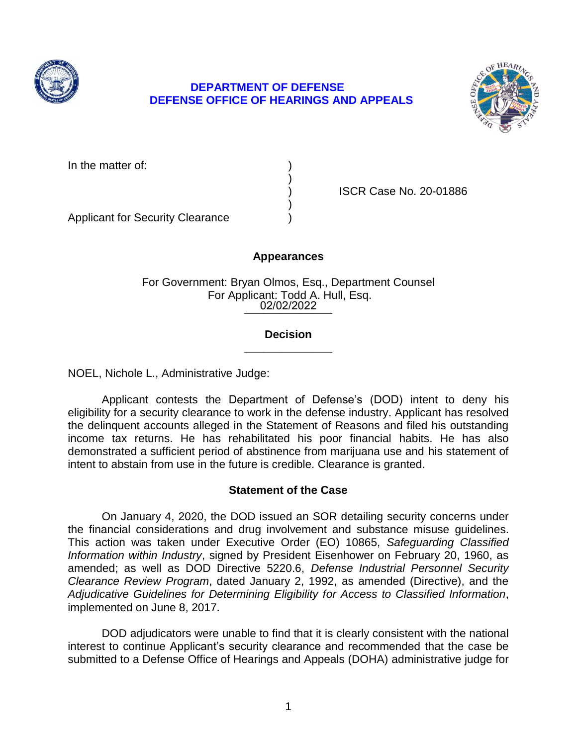

# **DEFENSE OFFICE OF HEARINGS AND APPEALS DEPARTMENT OF DEFENSE**



) ISCR Case No. 20-01886

Applicant for Security Clearance )

## **Appearances**

)

)

02/02/2022 For Government: Bryan Olmos, Esq., Department Counsel For Applicant: Todd A. Hull, Esq.

## **\_\_\_\_\_\_\_\_\_\_\_\_\_\_ Decision**

NOEL, Nichole L., Administrative Judge:

 Applicant contests the Department of Defense's (DOD) intent to deny his eligibility for a security clearance to work in the defense industry. Applicant has resolved the delinquent accounts alleged in the Statement of Reasons and filed his outstanding income tax returns. He has rehabilitated his poor financial habits. He has also demonstrated a sufficient period of abstinence from marijuana use and his statement of intent to abstain from use in the future is credible. Clearance is granted.

## **Statement of the Case**

 On January 4, 2020, the DOD issued an SOR detailing security concerns under the financial considerations and drug involvement and substance misuse guidelines. This action was taken under Executive Order (EO) 10865, *Safeguarding Classified Information within Industry*, signed by President Eisenhower on February 20, 1960, as amended; as well as DOD Directive 5220.6, *Defense Industrial Personnel Security Clearance Review Program*, dated January 2, 1992, as amended (Directive), and the  *Adjudicative Guidelines for Determining Eligibility for Access to Classified Information*, implemented on June 8, 2017.

 DOD adjudicators were unable to find that it is clearly consistent with the national interest to continue Applicant's security clearance and recommended that the case be submitted to a Defense Office of Hearings and Appeals (DOHA) administrative judge for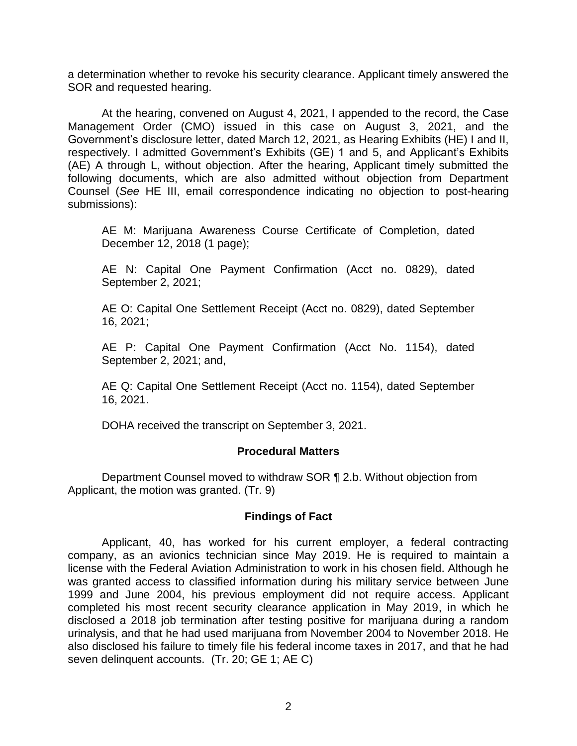a determination whether to revoke his security clearance. Applicant timely answered the SOR and requested hearing.

 At the hearing, convened on August 4, 2021, I appended to the record, the Case Management Order (CMO) issued in this case on August 3, 2021, and the Government's disclosure letter, dated March 12, 2021, as Hearing Exhibits (HE) I and II, (AE) A through L, without objection. After the hearing, Applicant timely submitted the following documents, which are also admitted without objection from Department Counsel (*See* HE III, email correspondence indicating no objection to post-hearing respectively. I admitted Government's Exhibits (GE) 1 and 5, and Applicant's Exhibits submissions):

 AE M: Marijuana Awareness Course Certificate of Completion, dated December 12, 2018 (1 page);

 AE N: Capital One Payment Confirmation (Acct no. 0829), dated September 2, 2021;

 AE O: Capital One Settlement Receipt (Acct no. 0829), dated September 16, 2021;

 AE P: Capital One Payment Confirmation (Acct No. 1154), dated September 2, 2021; and,

 AE Q: Capital One Settlement Receipt (Acct no. 1154), dated September 16, 2021.

DOHA received the transcript on September 3, 2021.

## **Procedural Matters**

 Department Counsel moved to withdraw SOR ¶ 2.b. Without objection from Applicant, the motion was granted. (Tr. 9)

## **Findings of Fact**

 Applicant, 40, has worked for his current employer, a federal contracting company, as an avionics technician since May 2019. He is required to maintain a license with the Federal Aviation Administration to work in his chosen field. Although he was granted access to classified information during his military service between June 1999 and June 2004, his previous employment did not require access. Applicant completed his most recent security clearance application in May 2019, in which he disclosed a 2018 job termination after testing positive for marijuana during a random urinalysis, and that he had used marijuana from November 2004 to November 2018. He also disclosed his failure to timely file his federal income taxes in 2017, and that he had seven delinquent accounts. (Tr. 20; GE 1; AE C)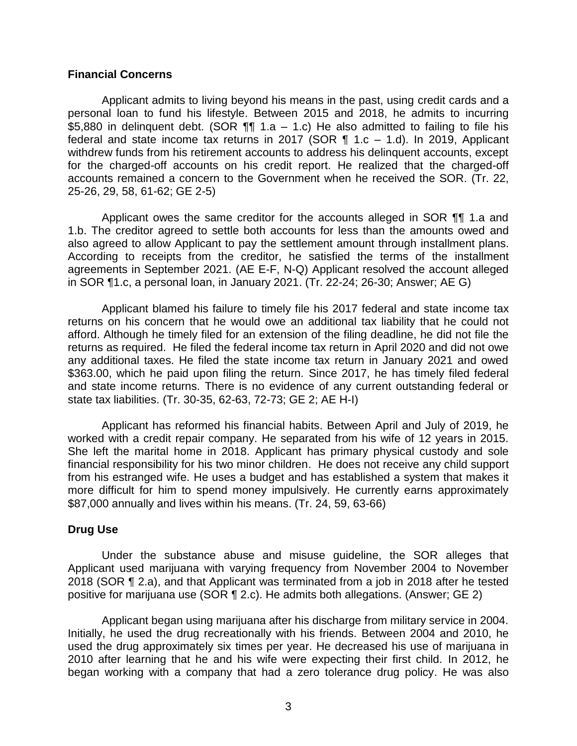### **Financial Concerns**

 Applicant admits to living beyond his means in the past, using credit cards and a personal loan to fund his lifestyle. Between 2015 and 2018, he admits to incurring \$5,880 in delinquent debt. (SOR ¶¶ 1.a – 1.c) He also admitted to failing to file his federal and state income tax returns in 2017 (SOR  $\P$  1.c – 1.d). In 2019, Applicant withdrew funds from his retirement accounts to address his delinquent accounts, except for the charged-off accounts on his credit report. He realized that the charged-off accounts remained a concern to the Government when he received the SOR. (Tr. 22, 25-26, 29, 58, 61-62; GE 2-5)

Applicant owes the same creditor for the accounts alleged in SOR **[1]** 1.a and 1.b. The creditor agreed to settle both accounts for less than the amounts owed and also agreed to allow Applicant to pay the settlement amount through installment plans. According to receipts from the creditor, he satisfied the terms of the installment agreements in September 2021. (AE E-F, N-Q) Applicant resolved the account alleged in SOR ¶1.c, a personal loan, in January 2021. (Tr. 22-24; 26-30; Answer; AE G)

 Applicant blamed his failure to timely file his 2017 federal and state income tax returns on his concern that he would owe an additional tax liability that he could not afford. Although he timely filed for an extension of the filing deadline, he did not file the returns as required. He filed the federal income tax return in April 2020 and did not owe any additional taxes. He filed the state income tax return in January 2021 and owed \$363.00, which he paid upon filing the return. Since 2017, he has timely filed federal and state income returns. There is no evidence of any current outstanding federal or state tax liabilities. (Tr. 30-35, 62-63, 72-73; GE 2; AE H-I)

 Applicant has reformed his financial habits. Between April and July of 2019, he worked with a credit repair company. He separated from his wife of 12 years in 2015. She left the marital home in 2018. Applicant has primary physical custody and sole financial responsibility for his two minor children. He does not receive any child support from his estranged wife. He uses a budget and has established a system that makes it more difficult for him to spend money impulsively. He currently earns approximately \$87,000 annually and lives within his means. (Tr. 24, 59, 63-66)

### **Drug Use**

 Under the substance abuse and misuse guideline, the SOR alleges that Applicant used marijuana with varying frequency from November 2004 to November 2018 (SOR ¶ 2.a), and that Applicant was terminated from a job in 2018 after he tested positive for marijuana use (SOR ¶ 2.c). He admits both allegations. (Answer; GE 2)

 Initially, he used the drug recreationally with his friends. Between 2004 and 2010, he used the drug approximately six times per year. He decreased his use of marijuana in 2010 after learning that he and his wife were expecting their first child. In 2012, he began working with a company that had a zero tolerance drug policy. He was also Applicant began using marijuana after his discharge from military service in 2004.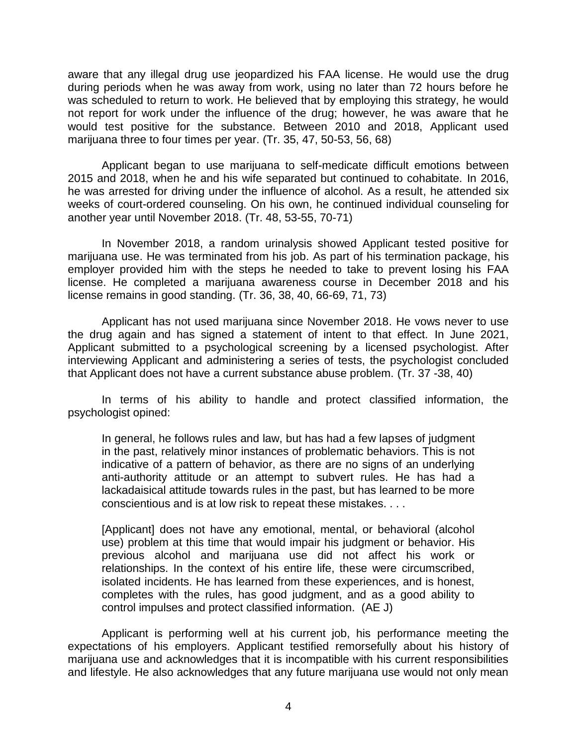aware that any illegal drug use jeopardized his FAA license. He would use the drug during periods when he was away from work, using no later than 72 hours before he was scheduled to return to work. He believed that by employing this strategy, he would not report for work under the influence of the drug; however, he was aware that he would test positive for the substance. Between 2010 and 2018, Applicant used marijuana three to four times per year. (Tr. 35, 47, 50-53, 56, 68)

 Applicant began to use marijuana to self-medicate difficult emotions between 2015 and 2018, when he and his wife separated but continued to cohabitate. In 2016, he was arrested for driving under the influence of alcohol. As a result, he attended six weeks of court-ordered counseling. On his own, he continued individual counseling for another year until November 2018. (Tr. 48, 53-55, 70-71)

 In November 2018, a random urinalysis showed Applicant tested positive for marijuana use. He was terminated from his job. As part of his termination package, his employer provided him with the steps he needed to take to prevent losing his FAA license. He completed a marijuana awareness course in December 2018 and his license remains in good standing. (Tr. 36, 38, 40, 66-69, 71, 73)

 Applicant has not used marijuana since November 2018. He vows never to use the drug again and has signed a statement of intent to that effect. In June 2021, Applicant submitted to a psychological screening by a licensed psychologist. After interviewing Applicant and administering a series of tests, the psychologist concluded that Applicant does not have a current substance abuse problem. (Tr. 37 -38, 40)

 In terms of his ability to handle and protect classified information, the psychologist opined:

In general, he follows rules and law, but has had a few lapses of judgment in the past, relatively minor instances of problematic behaviors. This is not indicative of a pattern of behavior, as there are no signs of an underlying anti-authority attitude or an attempt to subvert rules. He has had a lackadaisical attitude towards rules in the past, but has learned to be more conscientious and is at low risk to repeat these mistakes. . . .

[Applicant] does not have any emotional, mental, or behavioral (alcohol use) problem at this time that would impair his judgment or behavior. His previous alcohol and marijuana use did not affect his work or relationships. In the context of his entire life, these were circumscribed, isolated incidents. He has learned from these experiences, and is honest, completes with the rules, has good judgment, and as a good ability to control impulses and protect classified information. (AE J)

 Applicant is performing well at his current job, his performance meeting the expectations of his employers. Applicant testified remorsefully about his history of marijuana use and acknowledges that it is incompatible with his current responsibilities and lifestyle. He also acknowledges that any future marijuana use would not only mean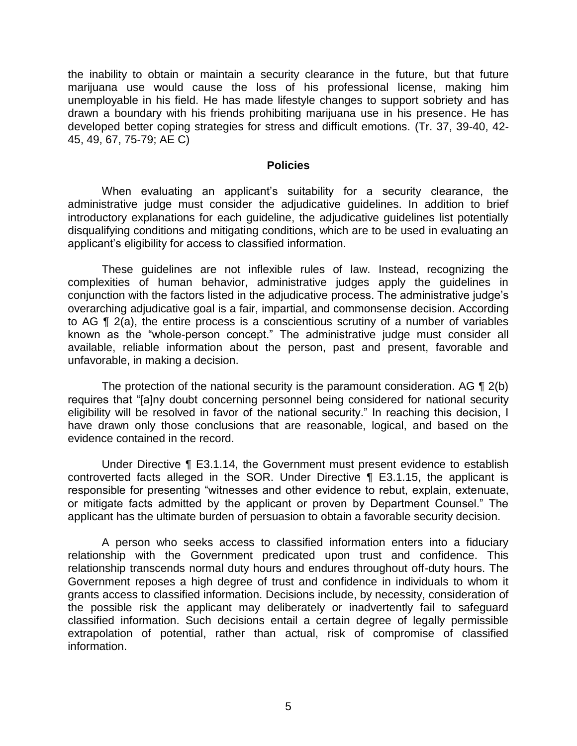the inability to obtain or maintain a security clearance in the future, but that future marijuana use would cause the loss of his professional license, making him unemployable in his field. He has made lifestyle changes to support sobriety and has drawn a boundary with his friends prohibiting marijuana use in his presence. He has developed better coping strategies for stress and difficult emotions. (Tr. 37, 39-40, 42- 45, 49, 67, 75-79; AE C)

#### **Policies**

 When evaluating an applicant's suitability for a security clearance, the administrative judge must consider the adjudicative guidelines. In addition to brief introductory explanations for each guideline, the adjudicative guidelines list potentially disqualifying conditions and mitigating conditions, which are to be used in evaluating an applicant's eligibility for access to classified information.

 These guidelines are not inflexible rules of law. Instead, recognizing the complexities of human behavior, administrative judges apply the guidelines in conjunction with the factors listed in the adjudicative process. The administrative judge's overarching adjudicative goal is a fair, impartial, and commonsense decision. According to AG ¶ 2(a), the entire process is a conscientious scrutiny of a number of variables known as the "whole-person concept." The administrative judge must consider all available, reliable information about the person, past and present, favorable and unfavorable, in making a decision.

The protection of the national security is the paramount consideration. AG  $\P$  2(b) eligibility will be resolved in favor of the national security." In reaching this decision, I have drawn only those conclusions that are reasonable, logical, and based on the requires that "[a]ny doubt concerning personnel being considered for national security evidence contained in the record.

 Under Directive ¶ E3.1.14, the Government must present evidence to establish controverted facts alleged in the SOR. Under Directive ¶ E3.1.15, the applicant is responsible for presenting "witnesses and other evidence to rebut, explain, extenuate, or mitigate facts admitted by the applicant or proven by Department Counsel." The applicant has the ultimate burden of persuasion to obtain a favorable security decision.

 A person who seeks access to classified information enters into a fiduciary relationship with the Government predicated upon trust and confidence. This relationship transcends normal duty hours and endures throughout off-duty hours. The Government reposes a high degree of trust and confidence in individuals to whom it grants access to classified information. Decisions include, by necessity, consideration of the possible risk the applicant may deliberately or inadvertently fail to safeguard classified information. Such decisions entail a certain degree of legally permissible extrapolation of potential, rather than actual, risk of compromise of classified information.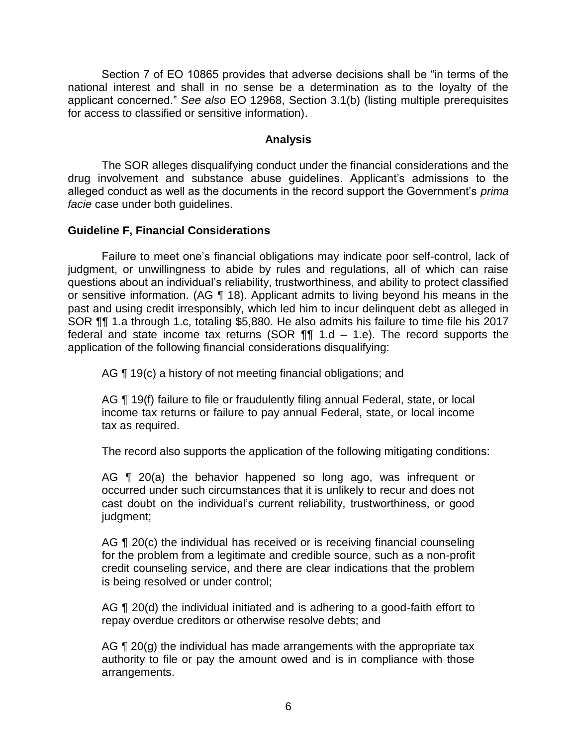Section 7 of EO 10865 provides that adverse decisions shall be "in terms of the national interest and shall in no sense be a determination as to the loyalty of the applicant concerned." *See also* EO 12968, Section 3.1(b) (listing multiple prerequisites for access to classified or sensitive information).

### **Analysis**

 drug involvement and substance abuse guidelines. Applicant's admissions to the alleged conduct as well as the documents in the record support the Government's *prima*  The SOR alleges disqualifying conduct under the financial considerations and the *facie* case under both guidelines.

### **Guideline F, Financial Considerations**

Failure to meet one's financial obligations may indicate poor self-control, lack of judgment, or unwillingness to abide by rules and regulations, all of which can raise questions about an individual's reliability, trustworthiness, and ability to protect classified or sensitive information. (AG ¶ 18). Applicant admits to living beyond his means in the past and using credit irresponsibly, which led him to incur delinquent debt as alleged in SOR ¶¶ 1.a through 1.c, totaling \$5,880. He also admits his failure to time file his 2017 federal and state income tax returns (SOR  $\P\P$  1.d – 1.e). The record supports the application of the following financial considerations disqualifying:

AG ¶ 19(c) a history of not meeting financial obligations; and

AG ¶ 19(f) failure to file or fraudulently filing annual Federal, state, or local income tax returns or failure to pay annual Federal, state, or local income tax as required.

The record also supports the application of the following mitigating conditions:

AG ¶ 20(a) the behavior happened so long ago, was infrequent or occurred under such circumstances that it is unlikely to recur and does not cast doubt on the individual's current reliability, trustworthiness, or good judgment;

AG ¶ 20(c) the individual has received or is receiving financial counseling for the problem from a legitimate and credible source, such as a non-profit credit counseling service, and there are clear indications that the problem is being resolved or under control;

AG ¶ 20(d) the individual initiated and is adhering to a good-faith effort to repay overdue creditors or otherwise resolve debts; and

AG  $\P$  20(g) the individual has made arrangements with the appropriate tax authority to file or pay the amount owed and is in compliance with those arrangements.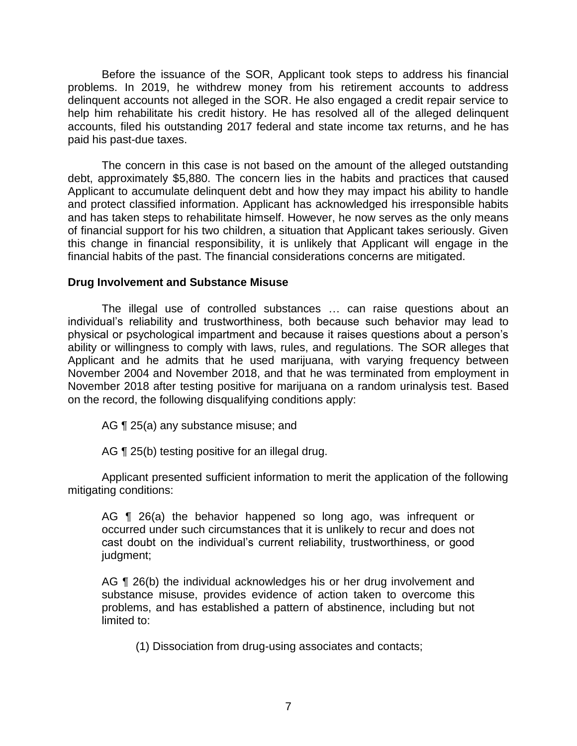Before the issuance of the SOR, Applicant took steps to address his financial problems. In 2019, he withdrew money from his retirement accounts to address delinquent accounts not alleged in the SOR. He also engaged a credit repair service to help him rehabilitate his credit history. He has resolved all of the alleged delinquent accounts, filed his outstanding 2017 federal and state income tax returns, and he has paid his past-due taxes.

 The concern in this case is not based on the amount of the alleged outstanding Applicant to accumulate delinquent debt and how they may impact his ability to handle and protect classified information. Applicant has acknowledged his irresponsible habits and has taken steps to rehabilitate himself. However, he now serves as the only means of financial support for his two children, a situation that Applicant takes seriously. Given this change in financial responsibility, it is unlikely that Applicant will engage in the financial habits of the past. The financial considerations concerns are mitigated. debt, approximately \$5,880. The concern lies in the habits and practices that caused

### **Drug Involvement and Substance Misuse**

 The illegal use of controlled substances … can raise questions about an individual's reliability and trustworthiness, both because such behavior may lead to physical or psychological impartment and because it raises questions about a person's ability or willingness to comply with laws, rules, and regulations. The SOR alleges that Applicant and he admits that he used marijuana, with varying frequency between November 2004 and November 2018, and that he was terminated from employment in November 2018 after testing positive for marijuana on a random urinalysis test. Based on the record, the following disqualifying conditions apply:

AG ¶ 25(a) any substance misuse; and

AG ¶ 25(b) testing positive for an illegal drug.

 Applicant presented sufficient information to merit the application of the following mitigating conditions:

AG ¶ 26(a) the behavior happened so long ago, was infrequent or occurred under such circumstances that it is unlikely to recur and does not cast doubt on the individual's current reliability, trustworthiness, or good judgment;

 substance misuse, provides evidence of action taken to overcome this problems, and has established a pattern of abstinence, including but not AG ¶ 26(b) the individual acknowledges his or her drug involvement and limited to:

(1) Dissociation from drug-using associates and contacts;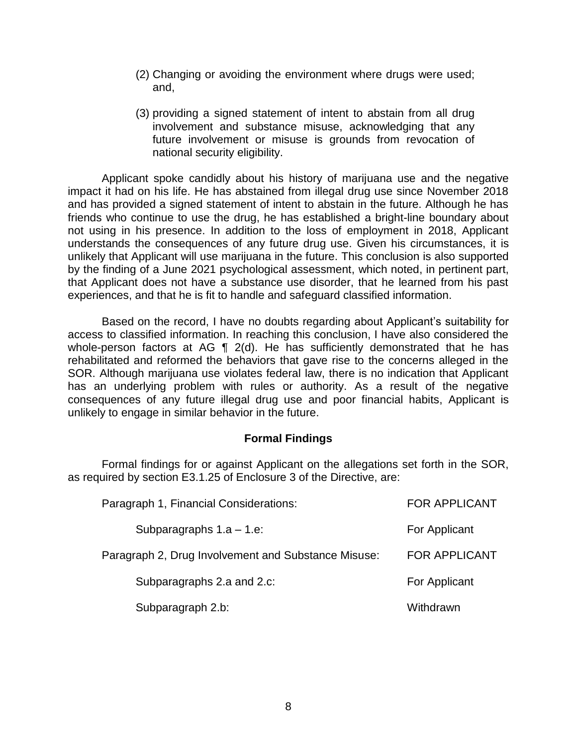- (2) Changing or avoiding the environment where drugs were used; and,
- (3) providing a signed statement of intent to abstain from all drug involvement and substance misuse, acknowledging that any future involvement or misuse is grounds from revocation of national security eligibility.

 Applicant spoke candidly about his history of marijuana use and the negative impact it had on his life. He has abstained from illegal drug use since November 2018 and has provided a signed statement of intent to abstain in the future. Although he has friends who continue to use the drug, he has established a bright-line boundary about not using in his presence. In addition to the loss of employment in 2018, Applicant understands the consequences of any future drug use. Given his circumstances, it is unlikely that Applicant will use marijuana in the future. This conclusion is also supported by the finding of a June 2021 psychological assessment, which noted, in pertinent part, that Applicant does not have a substance use disorder, that he learned from his past experiences, and that he is fit to handle and safeguard classified information.

 Based on the record, I have no doubts regarding about Applicant's suitability for access to classified information. In reaching this conclusion, I have also considered the whole-person factors at AG  $\parallel$  2(d). He has sufficiently demonstrated that he has rehabilitated and reformed the behaviors that gave rise to the concerns alleged in the SOR. Although marijuana use violates federal law, there is no indication that Applicant has an underlying problem with rules or authority. As a result of the negative consequences of any future illegal drug use and poor financial habits, Applicant is unlikely to engage in similar behavior in the future.

## **Formal Findings**

 Formal findings for or against Applicant on the allegations set forth in the SOR, as required by section E3.1.25 of Enclosure 3 of the Directive, are:

| Paragraph 1, Financial Considerations:              | <b>FOR APPLICANT</b> |
|-----------------------------------------------------|----------------------|
| Subparagraphs $1.a - 1.e$ :                         | For Applicant        |
| Paragraph 2, Drug Involvement and Substance Misuse: | <b>FOR APPLICANT</b> |
| Subparagraphs 2.a and 2.c:                          | For Applicant        |
| Subparagraph 2.b:                                   | Withdrawn            |